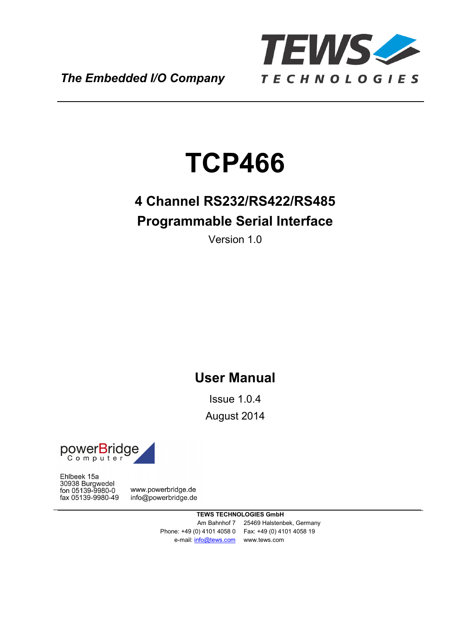

*The Embedded I/O Company*

# **TCP466**

# **4 Channel RS232/RS422/RS485 Programmable Serial Interface**

Version 1.0

## **User Manual**

Issue 1.0.4 August 2014



Ehlbeek 15a 30938 Burgwedel fon 05139-9980-0 fax 05139-9980-49

www.powerbridge.de info@powerbridge.de

> **TEWS TECHNOLOGIES GmbH** Am Bahnhof 7 25469 Halstenbek, Germany Phone: +49 (0) 4101 4058 0 Fax: +49 (0) 4101 4058 19 e-mail: info@tews.com www.tews.com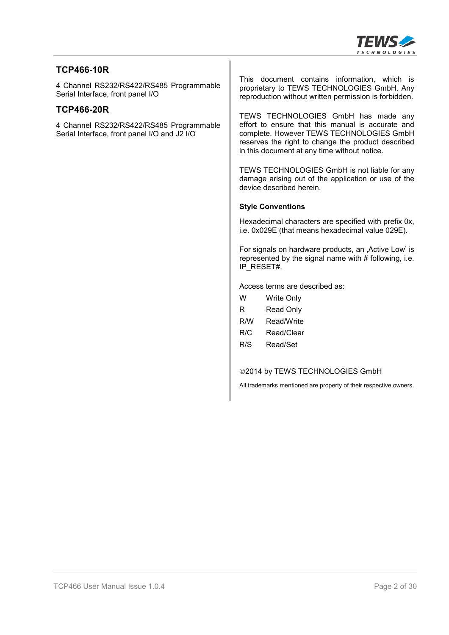

#### **TCP466-10R**

4 Channel RS232/RS422/RS485 Programmable Serial Interface, front panel I/O

#### **TCP466-20R**

4 Channel RS232/RS422/RS485 Programmable Serial Interface, front panel I/O and J2 I/O

This document contains information, which is proprietary to TEWS TECHNOLOGIES GmbH. Any reproduction without written permission is forbidden.

TEWS TECHNOLOGIES GmbH has made any effort to ensure that this manual is accurate and complete. However TEWS TECHNOLOGIES GmbH reserves the right to change the product described in this document at any time without notice.

TEWS TECHNOLOGIES GmbH is not liable for any damage arising out of the application or use of the device described herein.

#### **Style Conventions**

Hexadecimal characters are specified with prefix 0x, i.e. 0x029E (that means hexadecimal value 029E).

For signals on hardware products, an , Active Low' is represented by the signal name with  $#$  following, i.e. IP\_RESET#.

Access terms are described as:

| w   | <b>Write Only</b> |
|-----|-------------------|
| R   | Read Only         |
| R/W | Read/Write        |
| R/C | Read/Clear        |
| R/S | Read/Set          |
|     |                   |

 $@2014$  by TEWS TECHNOLOGIES GmbH

All trademarks mentioned are property of their respective owners.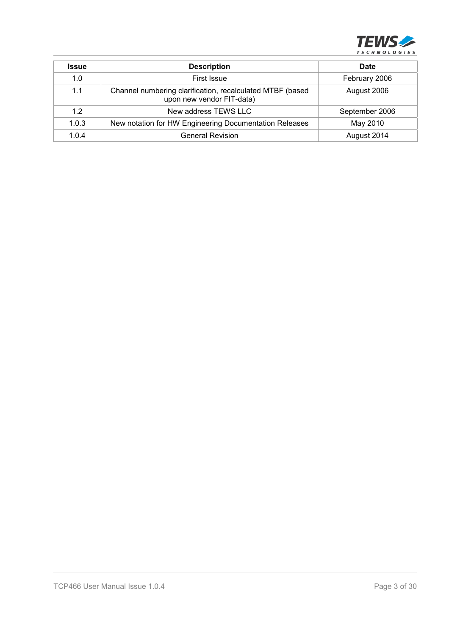

| <b>Issue</b> | <b>Description</b>                                                                     | <b>Date</b>    |
|--------------|----------------------------------------------------------------------------------------|----------------|
| 1.0          | First Issue                                                                            | February 2006  |
| 1.1          | Channel numbering clarification, recalculated MTBF (based<br>upon new vendor FIT-data) | August 2006    |
| 1.2          | New address TEWS LLC                                                                   | September 2006 |
| 1.0.3        | New notation for HW Engineering Documentation Releases                                 | May 2010       |
| 1.0.4        | <b>General Revision</b>                                                                | August 2014    |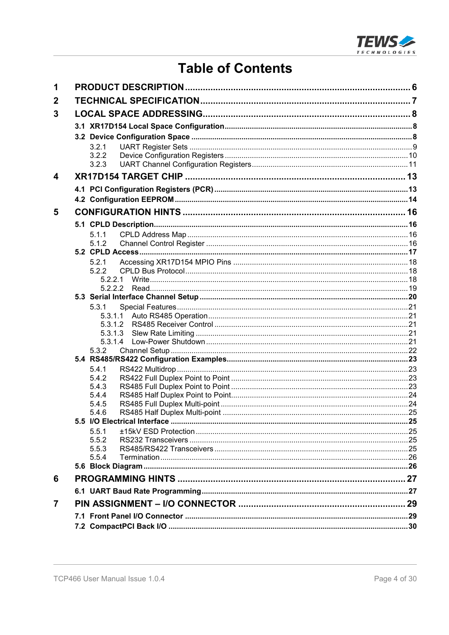

## **Table of Contents**

| 1              |                  |  |
|----------------|------------------|--|
| $\mathbf 2$    |                  |  |
| 3              |                  |  |
|                |                  |  |
|                |                  |  |
|                | 3.2.1            |  |
|                | 3.2.2            |  |
|                | 3.2.3            |  |
| 4              |                  |  |
|                |                  |  |
|                |                  |  |
| 5              |                  |  |
|                |                  |  |
|                | 5.1.1            |  |
|                | 5.1.2            |  |
|                |                  |  |
|                | 5.2.1            |  |
|                | 5.2.2            |  |
|                |                  |  |
|                |                  |  |
|                | 5.3.1            |  |
|                | 5.3.1.1          |  |
|                | 5.3.1.2          |  |
|                | 5.3.1.3          |  |
|                | 5.3.1.4<br>5.3.2 |  |
|                |                  |  |
|                | 5.4.1            |  |
|                | 5.4.2            |  |
|                | 5.4.3            |  |
|                | 5.4.4            |  |
|                | 5.4.5            |  |
|                | 5.4.6            |  |
|                | 5.5.1            |  |
|                | 5.5.2            |  |
|                | 5.5.3            |  |
|                | 5.5.4            |  |
|                |                  |  |
| 6              |                  |  |
|                |                  |  |
| $\overline{7}$ |                  |  |
|                |                  |  |
|                |                  |  |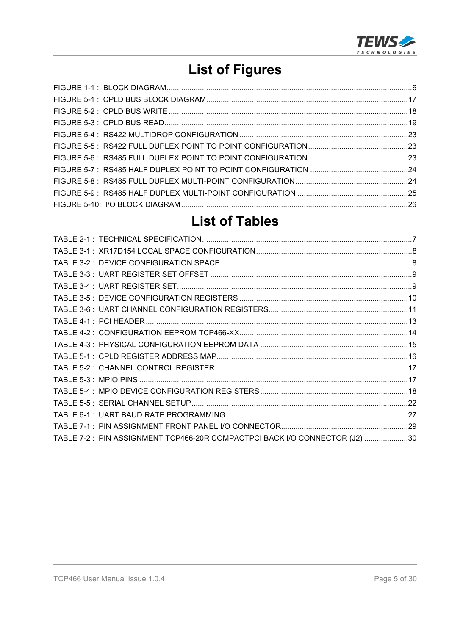

# **List of Figures**

## **List of Tables**

| TABLE 7-2 : PIN ASSIGNMENT TCP466-20R COMPACTPCI BACK I/O CONNECTOR (J2) 30 |  |
|-----------------------------------------------------------------------------|--|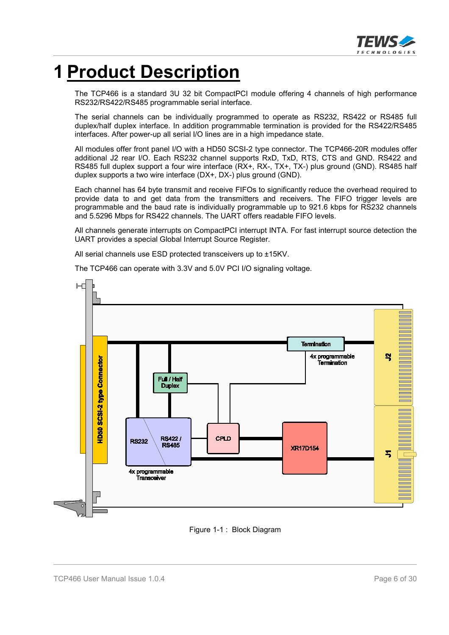

# **1 Product Description**

The TCP466 is a standard 3U 32 bit CompactPCI module offering 4 channels of high performance RS232/RS422/RS485 programmable serial interface.

The serial channels can be individually programmed to operate as RS232, RS422 or RS485 full duplex/half duplex interface. In addition programmable termination is provided for the RS422/RS485 interfaces. After power-up all serial I/O lines are in a high impedance state.

All modules offer front panel I/O with a HD50 SCSI-2 type connector. The TCP466-20R modules offer additional J2 rear I/O. Each RS232 channel supports RxD, TxD, RTS, CTS and GND. RS422 and RS485 full duplex support a four wire interface (RX+, RX-, TX+, TX-) plus ground (GND). RS485 half duplex supports a two wire interface (DX+, DX-) plus ground (GND).

Each channel has 64 byte transmit and receive FIFOs to significantly reduce the overhead required to provide data to and get data from the transmitters and receivers. The FIFO trigger levels are programmable and the baud rate is individually programmable up to 921.6 kbps for RS232 channels and 5.5296 Mbps for RS422 channels. The UART offers readable FIFO levels.

All channels generate interrupts on CompactPCI interrupt INTA. For fast interrupt source detection the UART provides a special Global Interrupt Source Register.

All serial channels use ESD protected transceivers up to ±15KV.

The TCP466 can operate with 3.3V and 5.0V PCI I/O signaling voltage.



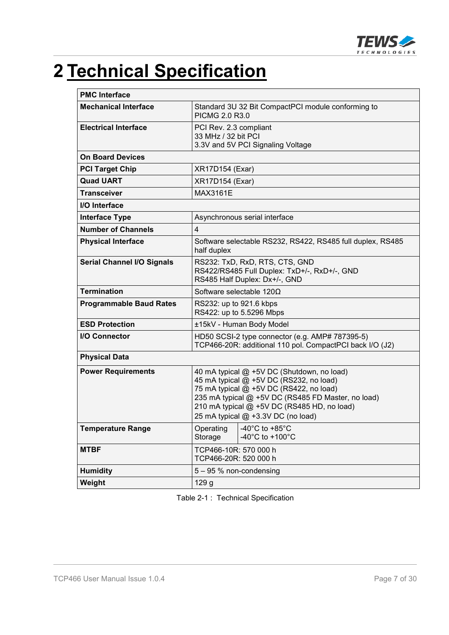

# **2 Technical Specification**

| <b>PMC Interface</b>              |                                                                                                                                                                                                                                                                             |  |  |
|-----------------------------------|-----------------------------------------------------------------------------------------------------------------------------------------------------------------------------------------------------------------------------------------------------------------------------|--|--|
| <b>Mechanical Interface</b>       | Standard 3U 32 Bit CompactPCI module conforming to<br>PICMG 2.0 R3.0                                                                                                                                                                                                        |  |  |
| <b>Electrical Interface</b>       | PCI Rev. 2.3 compliant<br>33 MHz / 32 bit PCI<br>3.3V and 5V PCI Signaling Voltage                                                                                                                                                                                          |  |  |
| <b>On Board Devices</b>           |                                                                                                                                                                                                                                                                             |  |  |
| <b>PCI Target Chip</b>            | <b>XR17D154 (Exar)</b>                                                                                                                                                                                                                                                      |  |  |
| <b>Quad UART</b>                  | <b>XR17D154 (Exar)</b>                                                                                                                                                                                                                                                      |  |  |
| <b>Transceiver</b>                | <b>MAX3161E</b>                                                                                                                                                                                                                                                             |  |  |
| I/O Interface                     |                                                                                                                                                                                                                                                                             |  |  |
| <b>Interface Type</b>             | Asynchronous serial interface                                                                                                                                                                                                                                               |  |  |
| <b>Number of Channels</b>         | 4                                                                                                                                                                                                                                                                           |  |  |
| <b>Physical Interface</b>         | Software selectable RS232, RS422, RS485 full duplex, RS485<br>half duplex                                                                                                                                                                                                   |  |  |
| <b>Serial Channel I/O Signals</b> | RS232: TxD, RxD, RTS, CTS, GND<br>RS422/RS485 Full Duplex: TxD+/-, RxD+/-, GND<br>RS485 Half Duplex: Dx+/-, GND                                                                                                                                                             |  |  |
| <b>Termination</b>                | Software selectable $120\Omega$                                                                                                                                                                                                                                             |  |  |
| <b>Programmable Baud Rates</b>    | RS232: up to 921.6 kbps<br>RS422: up to 5.5296 Mbps                                                                                                                                                                                                                         |  |  |
| <b>ESD Protection</b>             | ±15kV - Human Body Model                                                                                                                                                                                                                                                    |  |  |
| I/O Connector                     | HD50 SCSI-2 type connector (e.g. AMP# 787395-5)<br>TCP466-20R: additional 110 pol. CompactPCI back I/O (J2)                                                                                                                                                                 |  |  |
| <b>Physical Data</b>              |                                                                                                                                                                                                                                                                             |  |  |
| <b>Power Requirements</b>         | 40 mA typical @ +5V DC (Shutdown, no load)<br>45 mA typical @ +5V DC (RS232, no load)<br>75 mA typical @ +5V DC (RS422, no load)<br>235 mA typical @ +5V DC (RS485 FD Master, no load)<br>210 mA typical @ +5V DC (RS485 HD, no load)<br>25 mA typical @ +3.3V DC (no load) |  |  |
| Temperature Range                 | $\sqrt{-40^\circ}$ C to +85 $^\circ$ C<br>Operating<br>-40 $^{\circ}$ C to +100 $^{\circ}$ C<br>Storage                                                                                                                                                                     |  |  |
| <b>MTBF</b>                       | TCP466-10R: 570 000 h<br>TCP466-20R: 520 000 h                                                                                                                                                                                                                              |  |  |
| <b>Humidity</b>                   | $5 - 95$ % non-condensing                                                                                                                                                                                                                                                   |  |  |
| Weight                            | 129 g                                                                                                                                                                                                                                                                       |  |  |

Table 2-1 : Technical Specification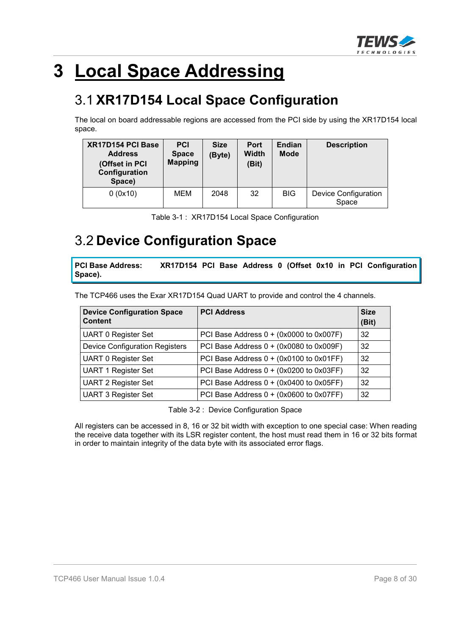

# **3 Local Space Addressing**

## 3.1 **XR17D154 Local Space Configuration**

The local on board addressable regions are accessed from the PCI side by using the XR17D154 local space.

| XR17D154 PCI Base<br><b>Address</b><br>(Offset in PCI<br>Configuration<br>Space) | <b>PCI</b><br><b>Space</b><br><b>Mapping</b> | <b>Size</b><br>(Byte) | <b>Port</b><br><b>Width</b><br>(Bit) | <b>Endian</b><br><b>Mode</b> | <b>Description</b>                   |
|----------------------------------------------------------------------------------|----------------------------------------------|-----------------------|--------------------------------------|------------------------------|--------------------------------------|
| 0(0x10)                                                                          | MEM                                          | 2048                  | 32                                   | <b>BIG</b>                   | <b>Device Configuration</b><br>Space |

| Table 3-1: XR17D154 Local Space Configuration |
|-----------------------------------------------|
|-----------------------------------------------|

## 3.2 **Device Configuration Space**

**PCI Base Address: XR17D154 PCI Base Address 0 (Offset 0x10 in PCI Configuration Space).**

The TCP466 uses the Exar XR17D154 Quad UART to provide and control the 4 channels.

| <b>Device Configuration Space</b><br><b>Content</b> | <b>PCI Address</b>                      | <b>Size</b><br>(Bit) |
|-----------------------------------------------------|-----------------------------------------|----------------------|
| <b>UART 0 Register Set</b>                          | PCI Base Address 0 + (0x0000 to 0x007F) | 32                   |
| <b>Device Configuration Registers</b>               | PCI Base Address 0 + (0x0080 to 0x009F) | 32                   |
| <b>UART 0 Register Set</b>                          | PCI Base Address 0 + (0x0100 to 0x01FF) | 32                   |
| <b>UART 1 Register Set</b>                          | PCI Base Address 0 + (0x0200 to 0x03FF) | 32                   |
| <b>UART 2 Register Set</b>                          | PCI Base Address 0 + (0x0400 to 0x05FF) | 32                   |
| <b>UART 3 Register Set</b>                          | PCI Base Address 0 + (0x0600 to 0x07FF) | 32                   |

Table 3-2 : Device Configuration Space

All registers can be accessed in 8, 16 or 32 bit width with exception to one special case: When reading the receive data together with its LSR register content, the host must read them in 16 or 32 bits format in order to maintain integrity of the data byte with its associated error flags.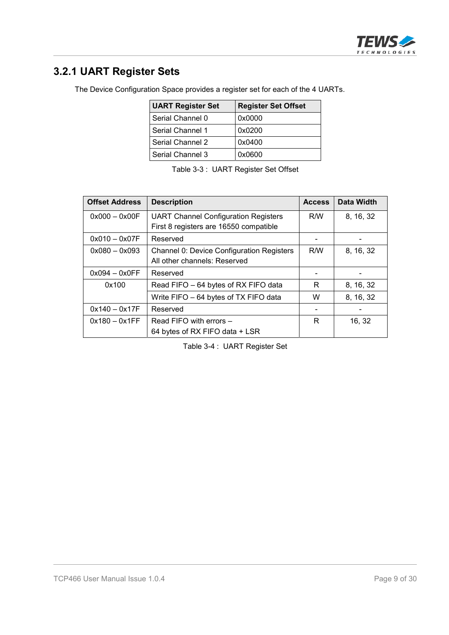

## **3.2.1 UART Register Sets**

The Device Configuration Space provides a register set for each of the 4 UARTs.

| <b>UART Register Set</b> | <b>Register Set Offset</b> |
|--------------------------|----------------------------|
| Serial Channel 0         | 0x0000                     |
| Serial Channel 1         | 0x0200                     |
| Serial Channel 2         | 0x0400                     |
| Serial Channel 3         | 0x0600                     |

|  | Table 3-3: UART Register Set Offset |
|--|-------------------------------------|
|--|-------------------------------------|

| <b>Offset Address</b> | <b>Description</b>                               | <b>Access</b> | Data Width |
|-----------------------|--------------------------------------------------|---------------|------------|
| $0x000 - 0x00F$       | <b>UART Channel Configuration Registers</b>      | R/W           | 8, 16, 32  |
|                       | First 8 registers are 16550 compatible           |               |            |
| $0x010 - 0x07F$       | Reserved                                         |               |            |
| $0x080 - 0x093$       | <b>Channel 0: Device Configuration Registers</b> | R/W           | 8, 16, 32  |
|                       | All other channels: Reserved                     |               |            |
| $0x094 - 0x0FF$       | Reserved                                         |               |            |
| 0x100                 | Read FIFO - 64 bytes of RX FIFO data             | R.            | 8, 16, 32  |
|                       | Write FIFO - 64 bytes of TX FIFO data            | W             | 8, 16, 32  |
| $0x140 - 0x17F$       | Reserved                                         |               |            |
| $0x180 - 0x1FF$       | Read FIFO with errors -                          | R             | 16, 32     |
|                       | 64 bytes of RX FIFO data + LSR                   |               |            |

Table 3-4 : UART Register Set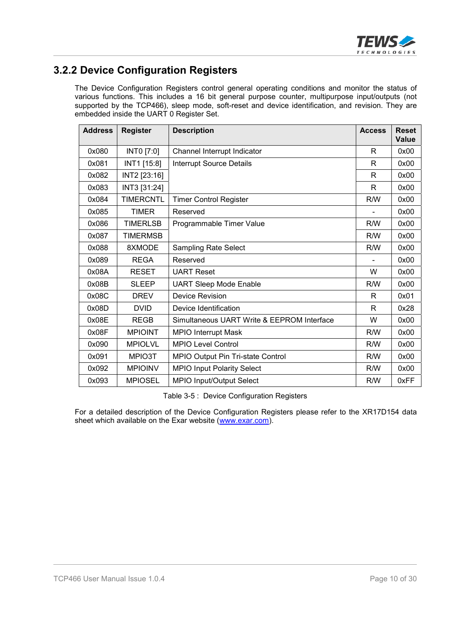

### **3.2.2 Device Configuration Registers**

The Device Configuration Registers control general operating conditions and monitor the status of various functions. This includes a 16 bit general purpose counter, multipurpose input/outputs (not supported by the TCP466), sleep mode, soft-reset and device identification, and revision. They are embedded inside the UART 0 Register Set.

| <b>Address</b> | <b>Register</b>  | <b>Description</b>                         | <b>Access</b> | <b>Reset</b><br>Value |
|----------------|------------------|--------------------------------------------|---------------|-----------------------|
| 0x080          | INTO [7:0]       | Channel Interrupt Indicator                | R             | 0x00                  |
| 0x081          | INT1 [15:8]      | <b>Interrupt Source Details</b>            | R             | 0x00                  |
| 0x082          | INT2 [23:16]     |                                            | R             | 0x00                  |
| 0x083          | INT3 [31:24]     |                                            | R             | 0x00                  |
| 0x084          | <b>TIMERCNTL</b> | <b>Timer Control Register</b>              | R/W           | 0x00                  |
| 0x085          | <b>TIMER</b>     | Reserved                                   |               | 0x00                  |
| 0x086          | <b>TIMERLSB</b>  | Programmable Timer Value                   | R/W           | 0x00                  |
| 0x087          | <b>TIMERMSB</b>  |                                            | R/W           | 0x00                  |
| 0x088          | 8XMODE           | <b>Sampling Rate Select</b>                | R/W           | 0x00                  |
| 0x089          | <b>REGA</b>      | Reserved                                   |               | 0x00                  |
| 0x08A          | <b>RESET</b>     | <b>UART Reset</b>                          | W             | 0x00                  |
| 0x08B          | <b>SLEEP</b>     | <b>UART Sleep Mode Enable</b>              | R/W           | 0x00                  |
| 0x08C          | <b>DREV</b>      | <b>Device Revision</b>                     | R             | 0x01                  |
| 0x08D          | <b>DVID</b>      | Device Identification                      | R             | 0x28                  |
| 0x08E          | <b>REGB</b>      | Simultaneous UART Write & EEPROM Interface | W             | 0x00                  |
| 0x08F          | <b>MPIOINT</b>   | <b>MPIO Interrupt Mask</b>                 | R/W           | 0x00                  |
| 0x090          | <b>MPIOLVL</b>   | <b>MPIO Level Control</b>                  | R/W           | 0x00                  |
| 0x091          | MPIO3T           | MPIO Output Pin Tri-state Control          | R/W           | 0x00                  |
| 0x092          | <b>MPIOINV</b>   | <b>MPIO Input Polarity Select</b>          | R/W           | 0x00                  |
| 0x093          | <b>MPIOSEL</b>   | <b>MPIO Input/Output Select</b>            | R/W           | 0xFF                  |

Table 3-5 : Device Configuration Registers

For a detailed description of the Device Configuration Registers please refer to the XR17D154 data sheet which available on the Exar website (www.exar.com).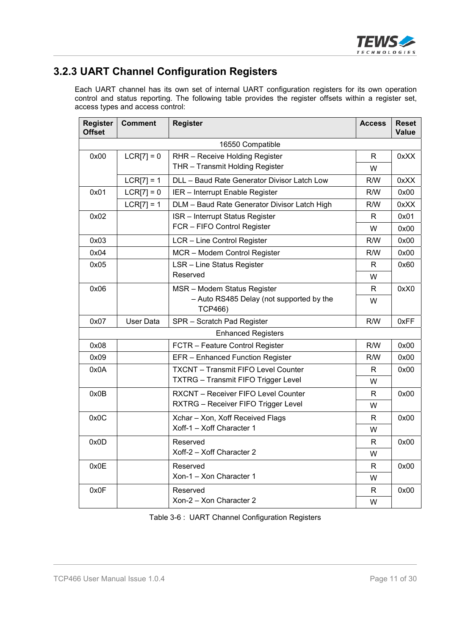

## **3.2.3 UART Channel Configuration Registers**

Each UART channel has its own set of internal UART configuration registers for its own operation control and status reporting. The following table provides the register offsets within a register set, access types and access control:

| <b>Register</b><br><b>Offset</b> | <b>Comment</b> | <b>Register</b>                                            | <b>Access</b> | <b>Reset</b><br>Value |
|----------------------------------|----------------|------------------------------------------------------------|---------------|-----------------------|
|                                  |                | 16550 Compatible                                           |               |                       |
| 0x00                             | $LCR[7] = 0$   | RHR - Receive Holding Register                             | R             | 0xXX                  |
|                                  |                | THR - Transmit Holding Register                            | W             |                       |
|                                  | $LCR[7] = 1$   | DLL - Baud Rate Generator Divisor Latch Low                | R/W           | 0xXX                  |
| 0x01                             | $LCRI7 = 0$    | IER - Interrupt Enable Register                            | R/W           | 0x00                  |
|                                  | $LCR[7] = 1$   | DLM - Baud Rate Generator Divisor Latch High               | R/W           | 0xXX                  |
| 0x02                             |                | ISR - Interrupt Status Register                            | R             | 0x01                  |
|                                  |                | FCR - FIFO Control Register                                | W             | 0x00                  |
| 0x03                             |                | LCR - Line Control Register                                | R/W           | 0x00                  |
| 0x04                             |                | MCR - Modem Control Register                               | R/W           | 0x00                  |
| 0x05                             |                | <b>LSR - Line Status Register</b>                          | R             | 0x60                  |
|                                  |                | Reserved                                                   | W             |                       |
| 0x06                             |                | MSR - Modem Status Register                                | R             | 0xX0                  |
|                                  |                | - Auto RS485 Delay (not supported by the<br><b>TCP466)</b> | W             |                       |
| 0x07                             | User Data      | SPR - Scratch Pad Register                                 | R/W           | 0xFF                  |
|                                  |                | <b>Enhanced Registers</b>                                  |               |                       |
| 0x08                             |                | FCTR - Feature Control Register                            | R/W           | 0x00                  |
| 0x09                             |                | EFR - Enhanced Function Register                           | R/W           | 0x00                  |
| 0x0A                             |                | <b>TXCNT - Transmit FIFO Level Counter</b>                 | R             | 0x00                  |
|                                  |                | <b>TXTRG</b> - Transmit FIFO Trigger Level                 | W             |                       |
| 0x0B                             |                | RXCNT - Receiver FIFO Level Counter                        | R             | 0x00                  |
|                                  |                | RXTRG - Receiver FIFO Trigger Level                        | W             |                       |
| 0x0C                             |                | Xchar - Xon, Xoff Received Flags                           | R             | 0x00                  |
|                                  |                | Xoff-1 - Xoff Character 1                                  | W             |                       |
| 0x0D                             |                | Reserved                                                   | R             | 0x00                  |
|                                  |                | Xoff-2 - Xoff Character 2                                  | W             |                       |
| 0x0E                             |                | Reserved                                                   | R             | 0x00                  |
|                                  |                | Xon-1 - Xon Character 1                                    | W             |                       |
| 0x0F                             |                | Reserved                                                   | R             | 0x00                  |
|                                  |                | Xon-2 - Xon Character 2                                    | W             |                       |

Table 3-6 : UART Channel Configuration Registers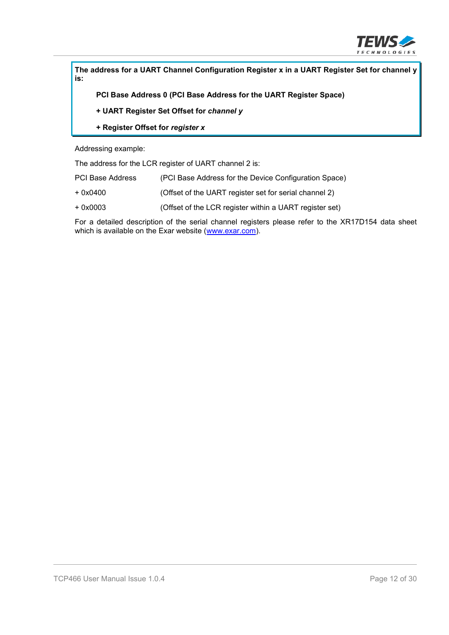

**The address for a UART Channel Configuration Register x in a UART Register Set for channel y is:**

**PCI Base Address 0 (PCI Base Address for the UART Register Space)**

- **+ UART Register Set Offset for** *channel y*
- **+ Register Offset for** *register x*

Addressing example:

The address for the LCR register of UART channel 2 is:

| <b>PCI Base Address</b> | (PCI Base Address for the Device Configuration Space) |  |
|-------------------------|-------------------------------------------------------|--|
|                         |                                                       |  |

- + 0x0400 (Offset of the UART register set for serial channel 2)
- + 0x0003 (Offset of the LCR register within a UART register set)

For a detailed description of the serial channel registers please refer to the XR17D154 data sheet which is available on the Exar website (www.exar.com).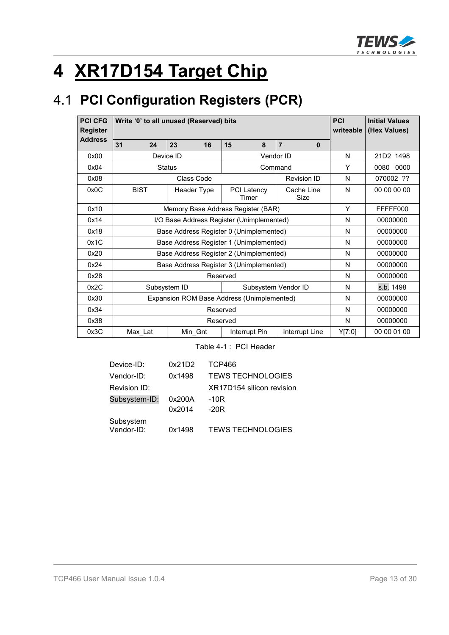

# **4 XR17D154 Target Chip**

# 4.1 **PCI Configuration Registers (PCR)**

| <b>PCI CFG</b><br><b>Register</b> | Write '0' to all unused (Reserved) bits    | <b>PCI</b><br>writeable                   | <b>Initial Values</b><br>(Hex Values) |                            |          |             |
|-----------------------------------|--------------------------------------------|-------------------------------------------|---------------------------------------|----------------------------|----------|-------------|
| <b>Address</b>                    | 31<br>24                                   | 23<br>16                                  | 15<br>8                               | $\overline{7}$<br>$\bf{0}$ |          |             |
| 0x00                              |                                            | Device ID                                 |                                       | Vendor ID                  | N        | 21D2 1498   |
| 0x04                              |                                            | <b>Status</b>                             |                                       | Command                    | Y        | 0080 0000   |
| 0x08                              |                                            | Class Code                                |                                       | <b>Revision ID</b>         | N        | 070002 ??   |
| 0x0C                              | <b>BIST</b>                                | Header Type                               | <b>PCI Latency</b><br>Timer           | Cache Line<br>Size         | N        | 00 00 00 00 |
| 0x10                              |                                            | Memory Base Address Register (BAR)        |                                       |                            | Y        | FFFFF000    |
| 0x14                              |                                            | I/O Base Address Register (Unimplemented) | N                                     | 00000000                   |          |             |
| 0x18                              | Base Address Register 0 (Unimplemented)    |                                           |                                       |                            |          | 00000000    |
| 0x1C                              | Base Address Register 1 (Unimplemented)    |                                           |                                       |                            |          | 00000000    |
| 0x20                              |                                            | Base Address Register 2 (Unimplemented)   | N                                     | 00000000                   |          |             |
| 0x24                              | Base Address Register 3 (Unimplemented)    |                                           |                                       |                            | N        | 00000000    |
| 0x28                              |                                            | Reserved                                  |                                       | N                          | 00000000 |             |
| 0x2C                              | Subsystem ID<br>Subsystem Vendor ID        |                                           |                                       |                            | N        | s.b. 1498   |
| 0x30                              | Expansion ROM Base Address (Unimplemented) |                                           |                                       |                            | N        | 00000000    |
| 0x34                              | Reserved                                   |                                           |                                       |                            |          | 00000000    |
| 0x38                              |                                            |                                           | Reserved                              |                            | N        | 00000000    |
| 0x3C                              | Max_Lat                                    | Min_Gnt                                   | Interrupt Pin                         | Interrupt Line             | Y[7:0]   | 00 00 01 00 |

Table 4-1 : PCI Header

| Device-ID:              | 0x21D2 | TCP466                    |
|-------------------------|--------|---------------------------|
| Vendor-ID:              | 0x1498 | <b>TEWS TECHNOLOGIES</b>  |
| Revision ID:            |        | XR17D154 silicon revision |
| Subsystem-ID:           | 0x200A | $-10R$                    |
|                         | 0x2014 | $-20R$                    |
| Subsystem<br>Vendor-ID: | 0x1498 | <b>TEWS TECHNOLOGIES</b>  |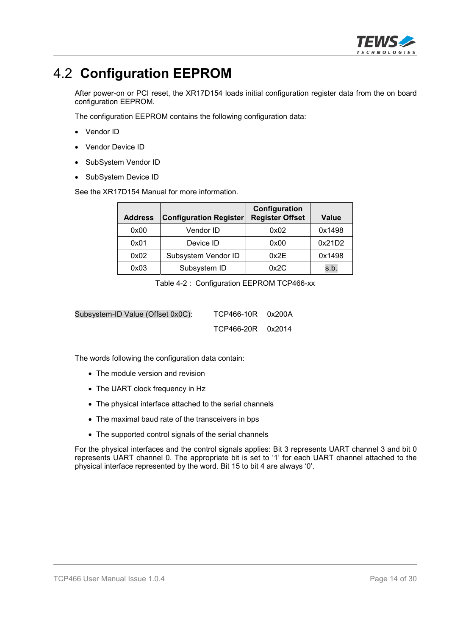

## 4.2 **Configuration EEPROM**

After power-on or PCI reset, the XR17D154 loads initial configuration register data from the on board configuration EEPROM.

The configuration EEPROM contains the following configuration data:

- Vendor ID
- Vendor Device ID
- SubSystem Vendor ID
- SubSystem Device ID

See the XR17D154 Manual for more information.

| <b>Address</b> | <b>Configuration Register</b> | Configuration<br><b>Register Offset</b> | <b>Value</b> |
|----------------|-------------------------------|-----------------------------------------|--------------|
| 0x00           | Vendor ID                     | 0x02                                    | 0x1498       |
| 0x01           | Device ID                     | 0x00                                    | 0x21D2       |
| 0x02           | Subsystem Vendor ID           | 0x2E                                    | 0x1498       |
| 0x03           | Subsystem ID                  | 0x2C                                    | s.b.         |

Table 4-2 : Configuration EEPROM TCP466-xx

| Subsystem-ID Value (Offset 0x0C): | TCP466-10R 0x200A |  |
|-----------------------------------|-------------------|--|
|                                   | TCP466-20R 0x2014 |  |

The words following the configuration data contain:

- The module version and revision
- The UART clock frequency in Hz
- The physical interface attached to the serial channels
- The maximal baud rate of the transceivers in bps
- The supported control signals of the serial channels

For the physical interfaces and the control signals applies: Bit 3 represents UART channel 3 and bit 0 represents UART channel 0. The appropriate bit is set to '1' for each UART channel attached to the physical interface represented by the word. Bit 15 to bit 4 are always '0'.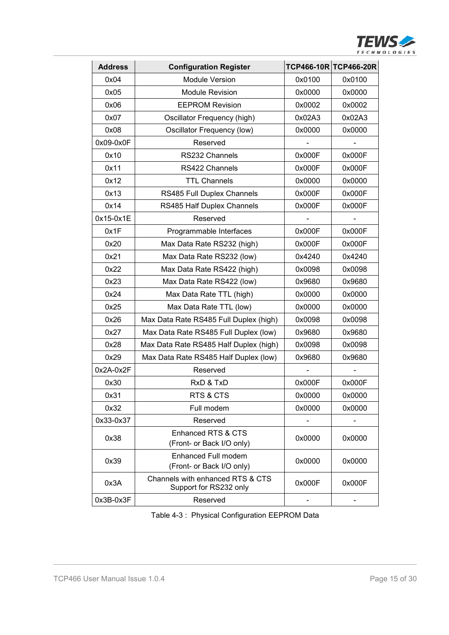

| <b>Address</b> | <b>Configuration Register</b>                              |        | TCP466-10R TCP466-20R |
|----------------|------------------------------------------------------------|--------|-----------------------|
| 0x04           | <b>Module Version</b>                                      | 0x0100 | 0x0100                |
| 0x05           | <b>Module Revision</b>                                     | 0x0000 | 0x0000                |
| 0x06           | <b>EEPROM Revision</b>                                     | 0x0002 | 0x0002                |
| 0x07           | Oscillator Frequency (high)                                | 0x02A3 | 0x02A3                |
| 0x08           | Oscillator Frequency (low)                                 | 0x0000 | 0x0000                |
| 0x09-0x0F      | Reserved                                                   |        |                       |
| 0x10           | RS232 Channels                                             | 0x000F | 0x000F                |
| 0x11           | RS422 Channels                                             | 0x000F | 0x000F                |
| 0x12           | <b>TTL Channels</b>                                        | 0x0000 | 0x0000                |
| 0x13           | RS485 Full Duplex Channels                                 | 0x000F | 0x000F                |
| 0x14           | RS485 Half Duplex Channels                                 | 0x000F | 0x000F                |
| 0x15-0x1E      | Reserved                                                   |        |                       |
| 0x1F           | Programmable Interfaces                                    | 0x000F | 0x000F                |
| 0x20           | Max Data Rate RS232 (high)                                 | 0x000F | 0x000F                |
| 0x21           | Max Data Rate RS232 (low)                                  | 0x4240 | 0x4240                |
| 0x22           | Max Data Rate RS422 (high)                                 | 0x0098 | 0x0098                |
| 0x23           | Max Data Rate RS422 (low)                                  | 0x9680 | 0x9680                |
| 0x24           | Max Data Rate TTL (high)                                   | 0x0000 | 0x0000                |
| 0x25           | Max Data Rate TTL (low)                                    | 0x0000 | 0x0000                |
| 0x26           | Max Data Rate RS485 Full Duplex (high)                     | 0x0098 | 0x0098                |
| 0x27           | Max Data Rate RS485 Full Duplex (low)                      | 0x9680 | 0x9680                |
| 0x28           | Max Data Rate RS485 Half Duplex (high)                     | 0x0098 | 0x0098                |
| 0x29           | Max Data Rate RS485 Half Duplex (low)                      | 0x9680 | 0x9680                |
| $0x2A-0x2F$    | Reserved                                                   |        |                       |
| 0x30           | RxD & TxD                                                  | 0x000F | 0x000F                |
| 0x31           | RTS & CTS                                                  | 0x0000 | 0x0000                |
| 0x32           | Full modem                                                 | 0x0000 | 0x0000                |
| 0x33-0x37      | Reserved                                                   |        |                       |
| 0x38           | Enhanced RTS & CTS                                         | 0x0000 | 0x0000                |
|                | (Front- or Back I/O only)                                  |        |                       |
| 0x39           | Enhanced Full modem<br>(Front- or Back I/O only)           | 0x0000 | 0x0000                |
| 0x3A           | Channels with enhanced RTS & CTS<br>Support for RS232 only | 0x000F | 0x000F                |
| 0x3B-0x3F      | Reserved                                                   |        |                       |

Table 4-3 : Physical Configuration EEPROM Data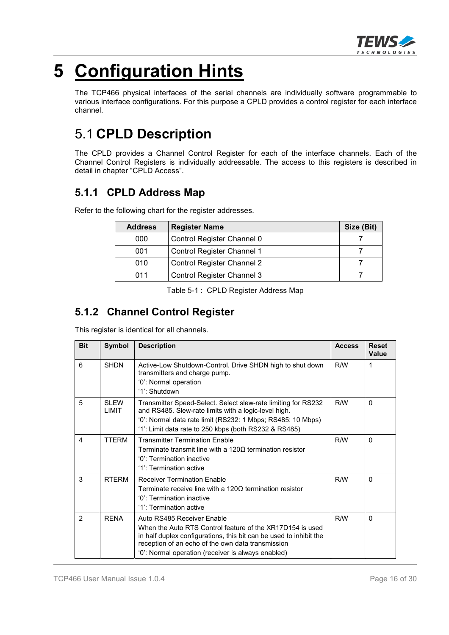

# **5 Configuration Hints**

The TCP466 physical interfaces of the serial channels are individually software programmable to various interface configurations. For this purpose a CPLD provides a control register for each interface channel.

## 5.1 **CPLD Description**

The CPLD provides a Channel Control Register for each of the interface channels. Each of the Channel Control Registers is individually addressable. The access to this registers is described in detail in chapter "CPLD Access".

### **5.1.1 CPLD Address Map**

Refer to the following chart for the register addresses.

| <b>Address</b> | <b>Register Name</b>              | Size (Bit) |
|----------------|-----------------------------------|------------|
| 000            | Control Register Channel 0        |            |
| 001            | Control Register Channel 1        |            |
| 010            | Control Register Channel 2        |            |
| 011            | <b>Control Register Channel 3</b> |            |

Table 5-1 : CPLD Register Address Map

## **5.1.2 Channel Control Register**

This register is identical for all channels.

| <b>Bit</b>    | Symbol                      | <b>Description</b>                                                                                                                                                                                                                                                       | <b>Access</b> | <b>Reset</b><br>Value |
|---------------|-----------------------------|--------------------------------------------------------------------------------------------------------------------------------------------------------------------------------------------------------------------------------------------------------------------------|---------------|-----------------------|
| 6             | <b>SHDN</b>                 | Active-Low Shutdown-Control. Drive SHDN high to shut down<br>transmitters and charge pump.                                                                                                                                                                               | R/W           | 1                     |
|               |                             | '0': Normal operation<br>'1': Shutdown                                                                                                                                                                                                                                   |               |                       |
| 5             | <b>SLEW</b><br><b>LIMIT</b> | Transmitter Speed-Select. Select slew-rate limiting for RS232<br>and RS485. Slew-rate limits with a logic-level high.<br>'0': Normal data rate limit (RS232: 1 Mbps; RS485: 10 Mbps)<br>$'1$ : Limit data rate to 250 kbps (both RS232 & RS485)                          | R/W           | $\Omega$              |
| 4             | <b>TTFRM</b>                | <b>Transmitter Termination Fnable</b><br>Terminate transmit line with a 1200 termination resistor<br>'0': Termination inactive<br>'1': Termination active                                                                                                                | R/M           | $\Omega$              |
| 3             | <b>RTFRM</b>                | <b>Receiver Termination Fnable</b><br>Terminate receive line with a 1200 termination resistor<br>'0': Termination inactive<br>'1': Termination active                                                                                                                    | R/W           | $\Omega$              |
| $\mathcal{P}$ | <b>RFNA</b>                 | Auto RS485 Receiver Enable<br>When the Auto RTS Control feature of the XR17D154 is used<br>in half duplex configurations, this bit can be used to inhibit the<br>reception of an echo of the own data transmission<br>'0': Normal operation (receiver is always enabled) | R/W           | $\Omega$              |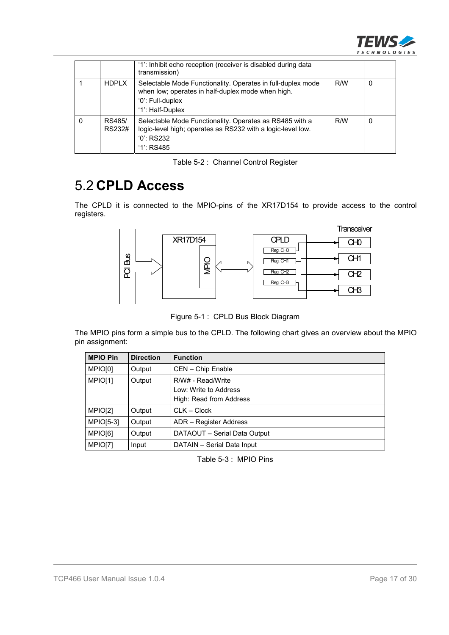

|   |                  | '1': Inhibit echo reception (receiver is disabled during data<br>transmission)                                                                           |     |   |
|---|------------------|----------------------------------------------------------------------------------------------------------------------------------------------------------|-----|---|
|   | <b>HDPLX</b>     | Selectable Mode Functionality. Operates in full-duplex mode<br>when low; operates in half-duplex mode when high.<br>'0': Full-duplex<br>'1': Half-Duplex | R/W | 0 |
| 0 | RS485/<br>RS232# | Selectable Mode Functionality. Operates as RS485 with a<br>logic-level high; operates as RS232 with a logic-level low.<br>$'0$ : RS232<br>$'1$ : RS485   | R/W | 0 |

Table 5-2 : Channel Control Register

## 5.2 **CPLD Access**

The CPLD it is connected to the MPIO-pins of the XR17D154 to provide access to the control registers.



Figure 5-1 : CPLD Bus Block Diagram

The MPIO pins form a simple bus to the CPLD. The following chart gives an overview about the MPIO pin assignment:

| <b>MPIO Pin</b> | <b>Direction</b> | <b>Function</b>                                                       |
|-----------------|------------------|-----------------------------------------------------------------------|
| MPIO[0]         | Output           | CEN - Chip Enable                                                     |
| MPIO[1]         | Output           | R/W# - Read/Write<br>Low: Write to Address<br>High: Read from Address |
| MPIO[2]         | Output           | $CLK - Clock$                                                         |
| $MPIO[5-3]$     | Output           | ADR - Register Address                                                |
| MPIO[6]         | Output           | DATAOUT - Serial Data Output                                          |
| MPIO[7]         | Input            | DATAIN - Serial Data Input                                            |

Table 5-3 : MPIO Pins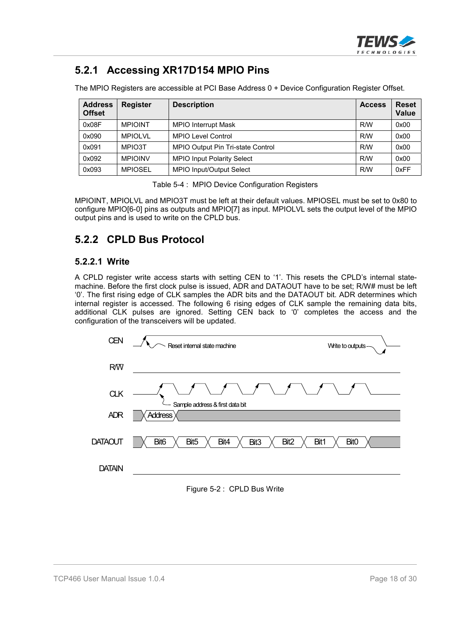

### **5.2.1 Accessing XR17D154 MPIO Pins**

The MPIO Registers are accessible at PCI Base Address 0 + Device Configuration Register Offset.

| <b>Address</b><br><b>Offset</b> | <b>Register</b> | <b>Description</b>                | <b>Access</b> | <b>Reset</b><br><b>Value</b> |
|---------------------------------|-----------------|-----------------------------------|---------------|------------------------------|
| 0x08F                           | <b>MPIOINT</b>  | <b>MPIO Interrupt Mask</b>        | R/W           | 0x00                         |
| 0x090                           | MPIOI VI        | <b>MPIO Level Control</b>         | R/W           | 0x00                         |
| 0x091                           | MPIO3T          | MPIO Output Pin Tri-state Control | R/W           | 0x00                         |
| 0x092                           | <b>MPIOINV</b>  | <b>MPIO Input Polarity Select</b> | R/W           | 0x00                         |
| 0x093                           | <b>MPIOSEL</b>  | <b>MPIO Input/Output Select</b>   | R/W           | 0xFF                         |

Table 5-4 : MPIO Device Configuration Registers

MPIOINT, MPIOLVL and MPIO3T must be left at their default values. MPIOSEL must be set to 0x80 to configure MPIO[6-0] pins as outputs and MPIO[7] as input. MPIOLVL sets the output level of the MPIO output pins and is used to write on the CPLD bus.

#### **5.2.2 CPLD Bus Protocol**

#### **5.2.2.1 Write**

A CPLD register write access starts with setting CEN to '1'. This resets the CPLD's internal statemachine. Before the first clock pulse is issued, ADR and DATAOUT have to be set; R/W# must be left '0'. The first rising edge of CLK samples the ADR bits and the DATAOUT bit. ADR determines which internal register is accessed. The following 6 rising edges of CLK sample the remaining data bits, additional CLK pulses are ignored. Setting CEN back to '0' completes the access and the configuration of the transceivers will be updated.

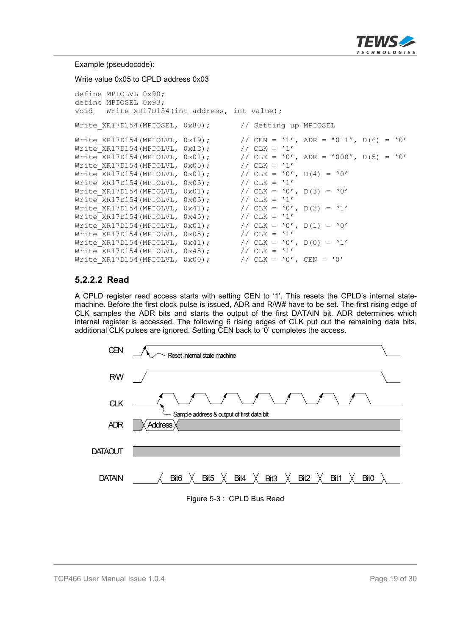

Example (pseudocode):

Write value 0x05 to CPLD address 0x03

```
define MPIOLVL 0x90;
define MPIOSEL 0x93;
void Write XR17D154(int address, int value);
Write XR17D154(MPIOSEL, 0x80); // Setting up MPIOSEL
Write_XR17D154(MPIOLVL, 0x19); // CEN = '1', ADR = "011", D(6) = '0'<br>Write XR17D154(MPIOLVL, 0x1D); // CLK = '1'
WriteXR17D154(MPIOLVL, 0x1D);
Write<sup>-</sup>XR17D154(MPIOLVL, 0x01); // CLK = '0', ADR = "000", D(5) = '0'<br>Write<sup>-</sup>XR17D154(MPIOLVL, 0x05); // CLK = '1'
Write_XR17D154(MPIOLVL, 0x05);
Write_XR17D154(MPIOLVL, 0x01); // CLK = '0', D(4) = '0'Write_XR17D154(MPIOLVL, 0x05); // CLK = '1'
Write_XR17D154(MPIOLVL, 0x01); // CLK = '0', D(3) = '0'
Write\_XR17D154(MPIOLVL, 0x05); // CLK = '1'
Write_XR17D154(MPIOLVL, 0x41); // CLK = '0', D(2) = '1'<br>Write XR17D154(MPIOLVL, 0x45); // CLK = '1'
Write XR17D154(MPIOLVL, 0x45);
Write_XR17D154(MPIOLVL, 0x01); // CLK = '0', D(1) = '0'<br>Write XR17D154(MPIOLVL, 0x05); // CLK = '1'
Write XR17D154 (MPIOLVL, 0x05);
Write_XR17D154(MPIOLVL, 0x41); // CLK = '0', D(0) = '1'<br>Write XR17D154(MPIOLVL, 0x45); // CLK = '1'
Write XR17D154 (MPIOLVL, 0x45);
Write_XR17D154(MPIOLVL, 0x00); // CLK = '0', CEN = '0'
```
#### **5.2.2.2 Read**

A CPLD register read access starts with setting CEN to '1'. This resets the CPLD's internal statemachine. Before the first clock pulse is issued, ADR and R/W# have to be set. The first rising edge of CLK samples the ADR bits and starts the output of the first DATAIN bit. ADR determines which internal register is accessed. The following 6 rising edges of CLK put out the remaining data bits, additional CLK pulses are ignored. Setting CEN back to '0' completes the access.



Figure 5-3 : CPLD Bus Read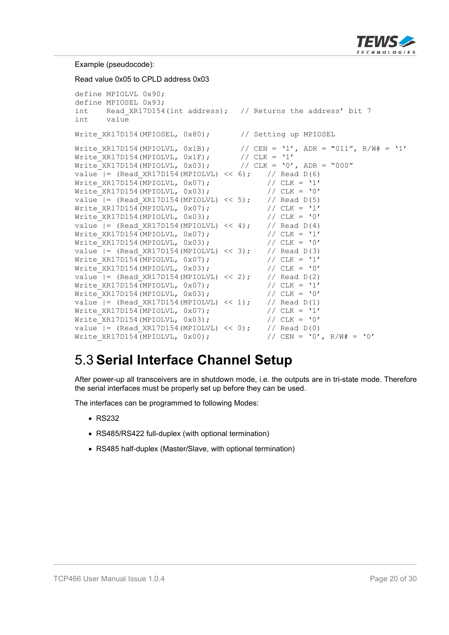

Example (pseudocode):

Read value 0x05 to CPLD address 0x03 define MPIOLVL 0x90; define MPIOSEL 0x93; int Read XR17D154(int address); // Returns the address' bit 7 int value Write XR17D154(MPIOSEL, 0x80); // Setting up MPIOSEL Write\_XR17D154(MPIOLVL, 0x1B); // CEN = '1', ADR = "011", R/W# = '1'<br>Write XR17D154(MPIOLVL, 0x1F); // CLK = '1'  $Write\_XR17D154(MPIOLVL, 0x1F);$  //  $CLK = '1'$ Write\_XR17D154(MPIOLVL, 0x03); // CLK = '0', ADR = "000" value  $| =$  (Read XR17D154(MPIOLVL) << 6); // Read D(6) Value = (Keau\_ARI/DIS4(MPIOLVL, 0x07);<br>Write\_XR17D154(MPIOLVL, 0x07); // CLK = '1'<br>Write XR17D154(MPIOLVL, 0x03); // CLK = '0'  $Write$  $XR17D154(MPIOLVL, 0x03);$ value  $| =$  (Read XR17D154(MPIOLVL) << 5); // Read D(5) Write XR17D154(MPIOLVL, 0x07);  $// CLK = '1'$ Write XR17D154(MPIOLVL,  $0x03$ ); // CLK = '0' value  $| =$  (Read XR17D154(MPIOLVL) << 4); // Read D(4) Write\_XR17D154(MPIOLVL, 0x07);  $\begin{array}{ccc} 0 & \text{with} & \text{with} & \text{with} & \text{with} & \text{with} & \text{with} & \text{with} & \text{with} & \text{with} & \text{with} & \text{with} & \text{with} & \text{with} & \text{with} & \text{with} & \text{with} & \text{with} & \text{with} & \text{with} & \text{with} & \text{with} & \text{with} & \text{with} & \text{with} & \text{with} & \text{with} & \text{with} & \text{with} & \text{with} & \text{with}$ Write\_XR17D154(MPIOLVL,  $0x03$ ); // CLK = '0'<br>value |= (Read XR17D154(MPIOLVL) << 3); // Read D(3) value  $|=$  (Read\_XR17D154(MPIOLVL) << 3); // Read D(3)<br>Write XR17D154(MPIOLVL, 0x07); // CLK = '1' Write\_XR17D154(MPIOLVL,  $0x07$ ); // CLK = '1'<br>Write\_XR17D154(MPIOLVL,  $0x03$ ); // CLK = '0' Write  $XR17D154(MPIOLVL, 0x03);$ value  $|=$  (Read XR17D154(MPIOLVL) << 2); // Read D(2) Write XR17D154(MPIOLVL, 0x07);  $// CLK = '1'$ Write XR17D154(MPIOLVL,  $0 \times 03$ );  $// CLK = '0'$ value  $| =$  (Read XR17D154(MPIOLVL) << 1); // Read D(1) Write XR17D154(MPIOLVL, 0x07); // CLK = '1' Write XR17D154(MPIOLVL,  $0x03$ );  $// CLK = '0'$ value  $| =$  (Read XR17D154(MPIOLVL) << 0); // Read D(0) Write XR17D154(MPIOLVL, 0x00);  $\angle$  // CEN = '0', R/W# = '0'

## 5.3 **Serial Interface Channel Setup**

After power-up all transceivers are in shutdown mode, i.e. the outputs are in tri-state mode. Therefore the serial interfaces must be properly set up before they can be used.

The interfaces can be programmed to following Modes:

- $\cdot$  RS232
- RS485/RS422 full-duplex (with optional termination)
- RS485 half-duplex (Master/Slave, with optional termination)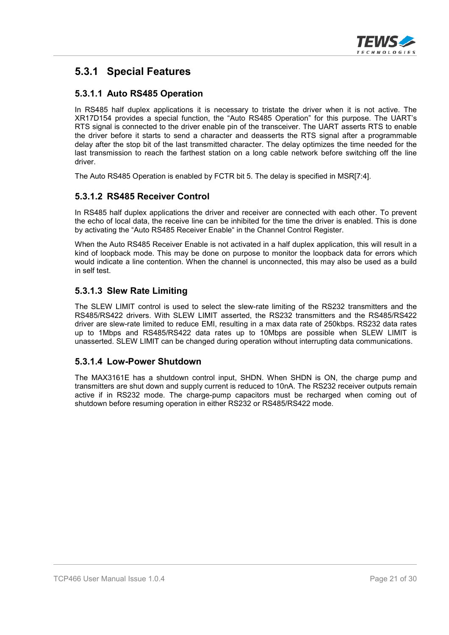

### **5.3.1 Special Features**

#### **5.3.1.1 Auto RS485 Operation**

In RS485 half duplex applications it is necessary to tristate the driver when it is not active. The XR17D154 provides a special function, the "Auto RS485 Operation" for this purpose. The UART's RTS signal is connected to the driver enable pin of the transceiver. The UART asserts RTS to enable the driver before it starts to send a character and deasserts the RTS signal after a programmable delay after the stop bit of the last transmitted character. The delay optimizes the time needed for the last transmission to reach the farthest station on a long cable network before switching off the line driver.

The Auto RS485 Operation is enabled by FCTR bit 5. The delay is specified in MSR[7:4].

#### **5.3.1.2 RS485 Receiver Control**

In RS485 half duplex applications the driver and receiver are connected with each other. To prevent the echo of local data, the receive line can be inhibited for the time the driver is enabled. This is done by activating the "Auto RS485 Receiver Enable" in the Channel Control Register.

When the Auto RS485 Receiver Enable is not activated in a half duplex application, this will result in a kind of loopback mode. This may be done on purpose to monitor the loopback data for errors which would indicate a line contention. When the channel is unconnected, this may also be used as a build in self test.

#### **5.3.1.3 Slew Rate Limiting**

The SLEW LIMIT control is used to select the slew-rate limiting of the RS232 transmitters and the RS485/RS422 drivers. With SLEW LIMIT asserted, the RS232 transmitters and the RS485/RS422 driver are slew-rate limited to reduce EMI, resulting in a max data rate of 250kbps. RS232 data rates up to 1Mbps and RS485/RS422 data rates up to 10Mbps are possible when SLEW LIMIT is unasserted. SLEW LIMIT can be changed during operation without interrupting data communications.

#### **5.3.1.4 Low-Power Shutdown**

The MAX3161E has a shutdown control input, SHDN. When SHDN is ON, the charge pump and transmitters are shut down and supply current is reduced to 10nA. The RS232 receiver outputs remain active if in RS232 mode. The charge-pump capacitors must be recharged when coming out of shutdown before resuming operation in either RS232 or RS485/RS422 mode.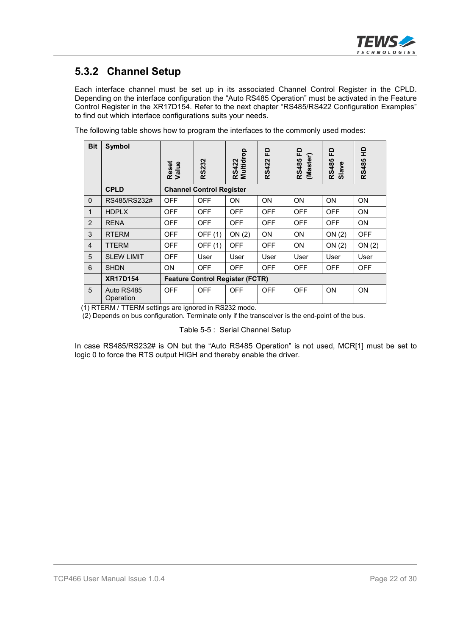

### **5.3.2 Channel Setup**

Each interface channel must be set up in its associated Channel Control Register in the CPLD. Depending on the interface configuration the "Auto RS485 Operation" must be activated in the Feature Control Register in the XR17D154. Refer to the next chapter "RS485/RS422 Configuration Examples" to find out which interface configurations suits your needs.

The following table shows how to program the interfaces to the commonly used modes:

| <b>Bit</b>     | <b>Symbol</b>           | Reset<br>Value | <b>RS232</b>                           | Multidrop<br><b>RS422</b> | 요<br><b>RS422</b> | 윤<br>(Master)<br><b>RS485</b> | 윤<br><b>RS485</b><br>Slave | 읖<br>RS485 |
|----------------|-------------------------|----------------|----------------------------------------|---------------------------|-------------------|-------------------------------|----------------------------|------------|
|                | <b>CPLD</b>             |                | <b>Channel Control Register</b>        |                           |                   |                               |                            |            |
| $\Omega$       | RS485/RS232#            | <b>OFF</b>     | <b>OFF</b>                             | ON                        | ON                | <b>ON</b>                     | <b>ON</b>                  | <b>ON</b>  |
| $\mathbf{1}$   | <b>HDPLX</b>            | <b>OFF</b>     | <b>OFF</b>                             | <b>OFF</b>                | <b>OFF</b>        | <b>OFF</b>                    | <b>OFF</b>                 | ON         |
| 2              | <b>RENA</b>             | <b>OFF</b>     | <b>OFF</b>                             | <b>OFF</b>                | <b>OFF</b>        | <b>OFF</b>                    | <b>OFF</b>                 | <b>ON</b>  |
| 3              | <b>RTERM</b>            | <b>OFF</b>     | OFF (1)                                | ON(2)                     | <b>ON</b>         | <b>ON</b>                     | ON(2)                      | <b>OFF</b> |
| $\overline{4}$ | <b>TTERM</b>            | <b>OFF</b>     | OFF (1)                                | <b>OFF</b>                | <b>OFF</b>        | <b>ON</b>                     | ON(2)                      | ON(2)      |
| 5              | <b>SLEW LIMIT</b>       | <b>OFF</b>     | User                                   | User                      | User              | User                          | User                       | User       |
| 6              | <b>SHDN</b>             | ON             | <b>OFF</b>                             | <b>OFF</b>                | <b>OFF</b>        | <b>OFF</b>                    | <b>OFF</b>                 | <b>OFF</b> |
|                | <b>XR17D154</b>         |                | <b>Feature Control Register (FCTR)</b> |                           |                   |                               |                            |            |
| 5              | Auto RS485<br>Operation | <b>OFF</b>     | <b>OFF</b>                             | <b>OFF</b>                | <b>OFF</b>        | <b>OFF</b>                    | ON                         | ON         |

(1) RTERM / TTERM settings are ignored in RS232 mode.

(2) Depends on bus configuration. Terminate only if the transceiver is the end-point of the bus.

Table 5-5 : Serial Channel Setup

In case RS485/RS232# is ON but the "Auto RS485 Operation" is not used, MCR[1] must be set to logic 0 to force the RTS output HIGH and thereby enable the driver.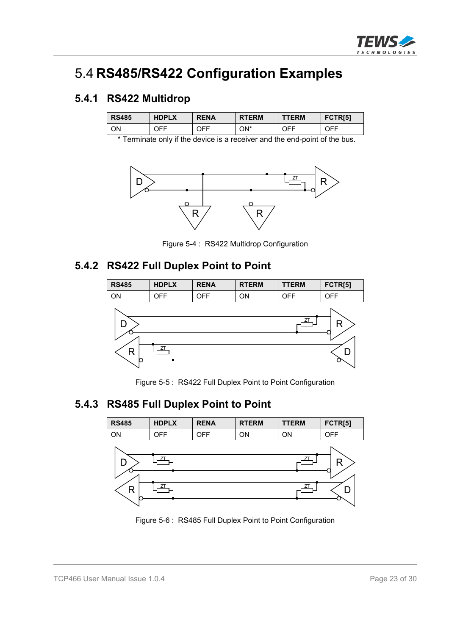

## 5.4 **RS485/RS422 Configuration Examples**

#### **5.4.1 RS422 Multidrop**

| <b>RS485</b> | <b>HDPLX</b> | <b>RENA</b> | <b>RTERM</b> | <b>TTERM</b>          | FCTR <sub>[5]</sub> |
|--------------|--------------|-------------|--------------|-----------------------|---------------------|
| ΟN           | JFF.         | า⊧⊧         | ON*          | า⊏⊧<br>$\mathsf{U}$ . | 7EE<br>ו וש         |

\* Terminate only if the device is a receiver and the end-point of the bus.



Figure 5-4 : RS422 Multidrop Configuration

#### **5.4.2 RS422 Full Duplex Point to Point**



Figure 5-5 : RS422 Full Duplex Point to Point Configuration

### **5.4.3 RS485 Full Duplex Point to Point**



Figure 5-6 : RS485 Full Duplex Point to Point Configuration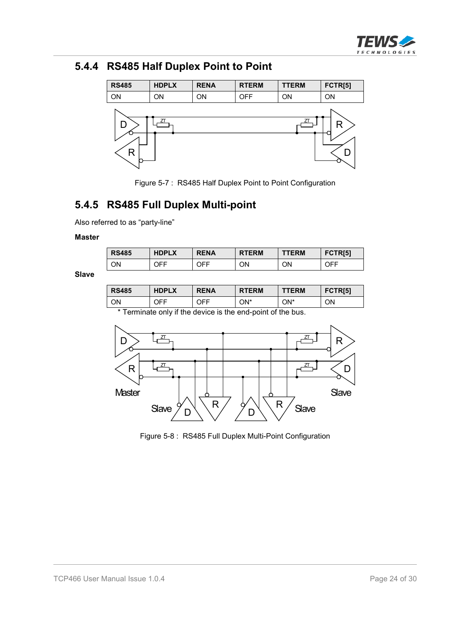

## **5.4.4 RS485 Half Duplex Point to Point**



Figure 5-7 : RS485 Half Duplex Point to Point Configuration

### **5.4.5 RS485 Full Duplex Multi-point**

Also referred to as "party-line"

#### **Master**

| <b>RS485</b> | <b>HDPLX</b> | <b>RENA</b> | <b>RTERM</b> | <b>TTERM</b> | FCTR <sub>[5]</sub> |
|--------------|--------------|-------------|--------------|--------------|---------------------|
| ΟN           | OFF          | <b>OFF</b>  | ON           | ΟN           | OFF                 |

**Slave**

| <b>RS485</b>                                                                                                                                                                                                                    | <b>HDPLX</b> | <b>RENA</b> | <b>RTERM</b> | <b>TTERM</b> | FCTR <sub>[5]</sub> |  |
|---------------------------------------------------------------------------------------------------------------------------------------------------------------------------------------------------------------------------------|--------------|-------------|--------------|--------------|---------------------|--|
| ON                                                                                                                                                                                                                              | OFF          | OFF         | ON*          | ON*          | ON                  |  |
| $\pm$ $\pm$ . The contract of the contract of the contract of the contract of the contract of the contract of the contract of the contract of the contract of the contract of the contract of the contract of the contract of t |              |             |              |              |                     |  |

\* Terminate only if the device is the end-point of the bus.



Figure 5-8 : RS485 Full Duplex Multi-Point Configuration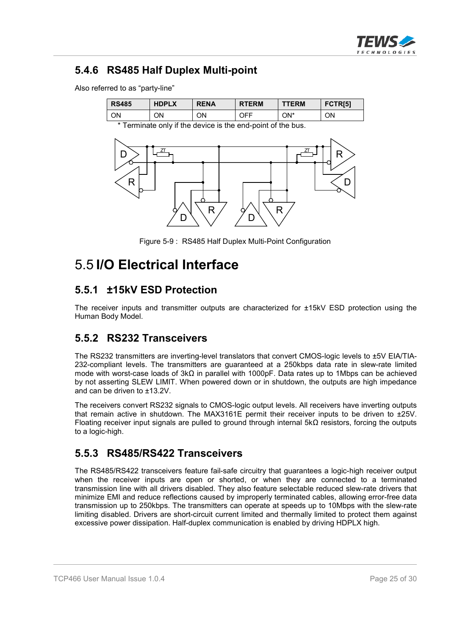

### **5.4.6 RS485 Half Duplex Multi-point**

Also referred to as "party-line"

| <b>RS485</b> | <b>HDPLX</b> | <b>RENA</b> | <b>RTERM</b> | <b>TTERM</b> | FCTR <sub>[5]</sub> |
|--------------|--------------|-------------|--------------|--------------|---------------------|
| ΟN           | ΟN           | ΟN          | JFF.         | ON*          | ΟN                  |

\* Terminate only if the device is the end-point of the bus.



Figure 5-9 : RS485 Half Duplex Multi-Point Configuration

## 5.5 **I/O Electrical Interface**

#### **5.5.1 ±15kV ESD Protection**

The receiver inputs and transmitter outputs are characterized for ±15kV ESD protection using the Human Body Model.

#### **5.5.2 RS232 Transceivers**

The RS232 transmitters are inverting-level translators that convert CMOS-logic levels to ±5V EIA/TIA-232-compliant levels. The transmitters are guaranteed at a 250kbps data rate in slew-rate limited mode with worst-case loads of  $3k\Omega$  in parallel with 1000pF. Data rates up to 1Mbps can be achieved by not asserting SLEW LIMIT. When powered down or in shutdown, the outputs are high impedance and can be driven to ±13.2V.

The receivers convert RS232 signals to CMOS-logic output levels. All receivers have inverting outputs that remain active in shutdown. The MAX3161E permit their receiver inputs to be driven to ±25V. Floating receiver input signals are pulled to ground through internal  $5k\Omega$  resistors, forcing the outputs to a logic-high.

#### **5.5.3 RS485/RS422 Transceivers**

The RS485/RS422 transceivers feature fail-safe circuitry that guarantees a logic-high receiver output when the receiver inputs are open or shorted, or when they are connected to a terminated transmission line with all drivers disabled. They also feature selectable reduced slew-rate drivers that minimize EMI and reduce reflections caused by improperly terminated cables, allowing error-free data transmission up to 250kbps. The transmitters can operate at speeds up to 10Mbps with the slew-rate limiting disabled. Drivers are short-circuit current limited and thermally limited to protect them against excessive power dissipation. Half-duplex communication is enabled by driving HDPLX high.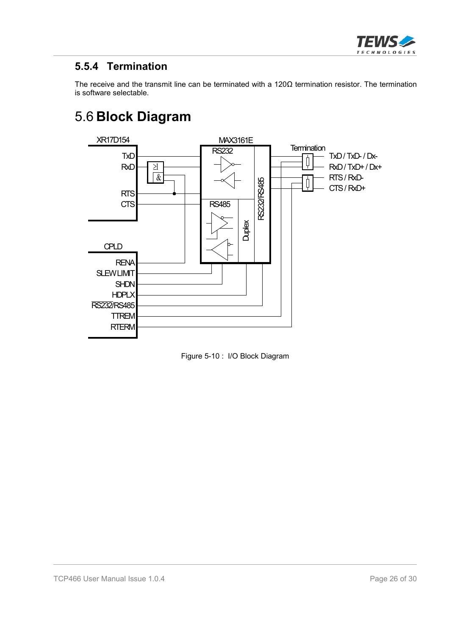

### **5.5.4 Termination**

The receive and the transmit line can be terminated with a  $120\Omega$  termination resistor. The termination is software selectable.

## 5.6 **Block Diagram**



Figure 5-10 : I/O Block Diagram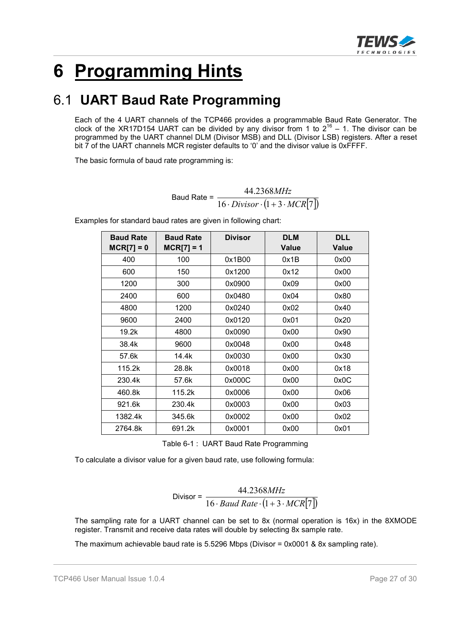

# **6 Programming Hints**

## 6.1 **UART Baud Rate Programming**

Each of the 4 UART channels of the TCP466 provides a programmable Baud Rate Generator. The clock of the XR17D154 UART can be divided by any divisor from 1 to  $2^{16}$  – 1. The divisor can be programmed by the UART channel DLM (Divisor MSB) and DLL (Divisor LSB) registers. After a reset bit 7 of the UART channels MCR register defaults to '0' and the divisor value is 0xFFFF.

The basic formula of baud rate programming is:

Baud Rate =  $\frac{16 \cdot \text{Division} \cdot (1 + 3 \cdot \text{MCR}[7])}{16 \cdot \text{Division} \cdot (1 + 3 \cdot \text{MCR}[7])}$ 44.2368  $Divisor \cdot (1 + 3 \cdot MCR)$ *MHz*  $\cdot Divisor\cdot(1+3\cdot$ 

| <b>Baud Rate</b> | <b>Baud Rate</b> | <b>Divisor</b> | <b>DLM</b>   | <b>DLL</b>   |
|------------------|------------------|----------------|--------------|--------------|
| $MCR[7] = 0$     | $MCR[7] = 1$     |                | <b>Value</b> | <b>Value</b> |
| 400              | 100              | 0x1B00         | 0x1B         | 0x00         |
| 600              | 150              | 0x1200         | 0x12         | 0x00         |
| 1200             | 300              | 0x0900         | 0x09         | 0x00         |
| 2400             | 600              | 0x0480         | 0x04         | 0x80         |
| 4800             | 1200             | 0x0240         | 0x02         | 0x40         |
| 9600             | 2400             | 0x0120         | 0x01         | 0x20         |
| 19.2k            | 4800             | 0x0090         | 0x00         | 0x90         |
| 38.4k            | 9600             | 0x0048         | 0x00         | 0x48         |
| 57.6k            | 14.4k            | 0x0030         | 0x00         | 0x30         |
| 115.2k           | 28.8k            | 0x0018         | 0x00         | 0x18         |
| 230.4k           | 57.6k            | 0x000C         | 0x00         | 0x0C         |
| 460.8k           | 115.2k           | 0x0006         | 0x00         | 0x06         |
| 921.6k           | 230.4k           | 0x0003         | 0x00         | 0x03         |
| 1382.4k          | 345.6k           | 0x0002         | 0x00         | 0x02         |
| 2764.8k          | 691.2k           | 0x0001         | 0x00         | 0x01         |

Examples for standard baud rates are given in following chart:

Table 6-1 : UART Baud Rate Programming

To calculate a divisor value for a given baud rate, use following formula:

$$
Divisor = \frac{44.2368MHz}{16 \cdot Baud Rate \cdot (1 + 3 \cdot MCR[7])}
$$

The sampling rate for a UART channel can be set to 8x (normal operation is 16x) in the 8XMODE register. Transmit and receive data rates will double by selecting 8x sample rate.

The maximum achievable baud rate is 5.5296 Mbps (Divisor = 0x0001 & 8x sampling rate).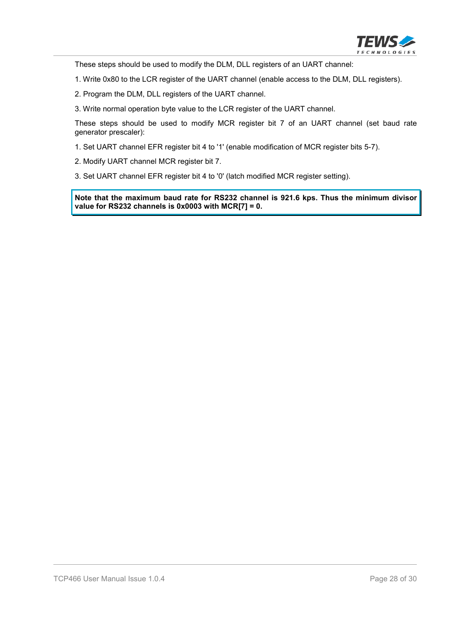

These steps should be used to modify the DLM, DLL registers of an UART channel:

1. Write 0x80 to the LCR register of the UART channel (enable access to the DLM, DLL registers).

2. Program the DLM, DLL registers of the UART channel.

3. Write normal operation byte value to the LCR register of the UART channel.

These steps should be used to modify MCR register bit 7 of an UART channel (set baud rate generator prescaler):

1. Set UART channel EFR register bit 4 to '1' (enable modification of MCR register bits 5-7).

2. Modify UART channel MCR register bit 7.

3. Set UART channel EFR register bit 4 to '0' (latch modified MCR register setting).

**Note that the maximum baud rate for RS232 channel is 921.6 kps. Thus the minimum divisor value for RS232 channels is 0x0003 with MCR[7] = 0.**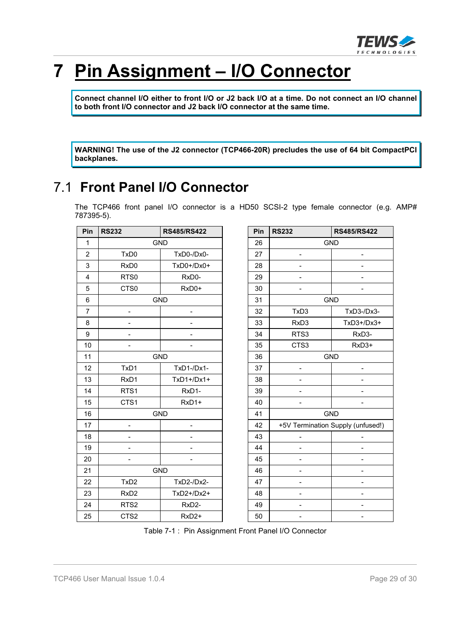

# **7 Pin Assignment – I/O Connector**

**Connect channel I/O either to front I/O or J2 back I/O at a time. Do not connect an I/O channel to both front I/O connector and J2 back I/O connector at the same time.**

**WARNING! The use of the J2 connector (TCP466-20R) precludes the use of 64 bit CompactPCI backplanes.**

## 7.1 **Front Panel I/O Connector**

The TCP466 front panel I/O connector is a HD50 SCSI-2 type female connector (e.g. AMP# 787395-5).

| Pin            | <b>RS232</b>             | <b>RS485/RS422</b>           |
|----------------|--------------------------|------------------------------|
| $\mathbf{1}$   |                          | <b>GND</b>                   |
| $\overline{2}$ | TxD <sub>0</sub>         | TxD0-/Dx0-                   |
| 3              | RxD0                     | TxD0+/Dx0+                   |
| $\overline{4}$ | RTS0                     | RxD0-                        |
| 5              | CTS0                     | RxD0+                        |
| $6\phantom{1}$ |                          | <b>GND</b>                   |
| $\overline{7}$ | $\overline{\phantom{0}}$ | $\overline{\phantom{0}}$     |
| 8              |                          |                              |
| 9              |                          |                              |
| 10             | $\overline{\phantom{0}}$ |                              |
| 11             |                          | <b>GND</b>                   |
| 12             | TxD1                     | TxD1-/Dx1-                   |
| 13             | RxD1                     | $TxD1+/Dx1+$                 |
| 14             | RTS1                     | RxD1-                        |
| 15             | CTS1                     | RxD1+                        |
| 16             |                          | <b>GND</b>                   |
| 17             |                          | $\qquad \qquad \blacksquare$ |
| 18             |                          |                              |
| 19             |                          |                              |
| 20             |                          |                              |
| 21             |                          | <b>GND</b>                   |
| 22             | TxD <sub>2</sub>         | TxD2-/Dx2-                   |
| 23             | RxD <sub>2</sub>         | TxD2+/Dx2+                   |
| 24             | RTS <sub>2</sub>         | RxD2-                        |
| 25             | CTS <sub>2</sub>         | RxD <sub>2+</sub>            |

| Pin | <b>RS232</b> | <b>RS485/RS422</b>                |
|-----|--------------|-----------------------------------|
| 26  |              | <b>GND</b>                        |
| 27  |              |                                   |
| 28  |              |                                   |
| 29  |              |                                   |
| 30  |              |                                   |
| 31  |              | <b>GND</b>                        |
| 32  | TxD3         | TxD3-/Dx3-                        |
| 33  | RxD3         | TxD3+/Dx3+                        |
| 34  | RTS3         | RxD3-                             |
| 35  | CTS3         | RxD3+                             |
| 36  |              | <b>GND</b>                        |
| 37  |              |                                   |
| 38  |              |                                   |
| 39  |              |                                   |
| 40  |              |                                   |
| 41  |              | <b>GND</b>                        |
| 42  |              | +5V Termination Supply (unfused!) |
| 43  |              |                                   |
| 44  |              |                                   |
| 45  |              |                                   |
| 46  |              |                                   |
| 47  |              |                                   |
| 48  |              |                                   |
| 49  |              |                                   |
| 50  |              |                                   |

Table 7-1 : Pin Assignment Front Panel I/O Connector